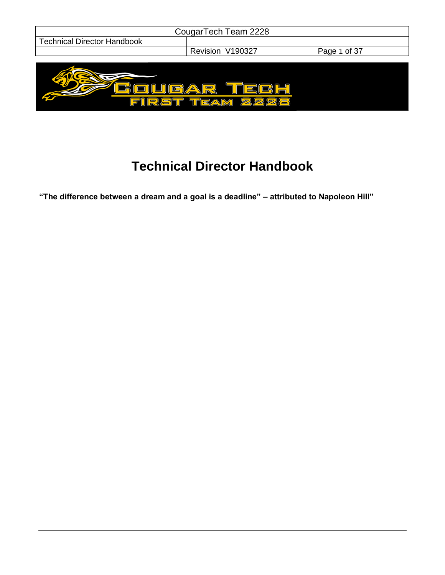| CougarTech Team 2228               |                                               |              |
|------------------------------------|-----------------------------------------------|--------------|
| <b>Technical Director Handbook</b> |                                               |              |
|                                    | Revision V190327                              | Page 1 of 37 |
|                                    |                                               |              |
| $\blacksquare$<br><u> 51  </u>     | $\equiv$<br>◬<br>( <del>W</del><br><b>SES</b> |              |

# **Technical Director Handbook**

**"The difference between a dream and a goal is a deadline" – attributed to Napoleon Hill"**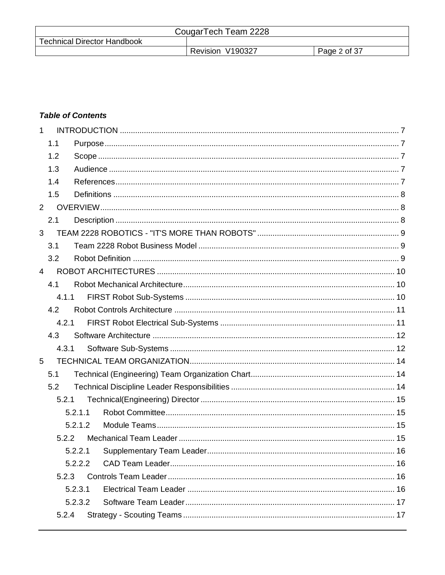| CougarTech Team 2228               |                  |              |  |
|------------------------------------|------------------|--------------|--|
| <b>Technical Director Handbook</b> |                  |              |  |
|                                    | Revision V190327 | Page 2 of 37 |  |

# **Table of Contents**

| $\mathbf{1}$   |       |         |  |
|----------------|-------|---------|--|
|                | 1.1   |         |  |
|                | 1.2   |         |  |
|                | 1.3   |         |  |
|                | 1.4   |         |  |
|                | 1.5   |         |  |
| $\overline{2}$ |       |         |  |
|                | 2.1   |         |  |
| 3              |       |         |  |
|                | 3.1   |         |  |
|                | 3.2   |         |  |
| $\overline{4}$ |       |         |  |
|                | 4.1   |         |  |
|                | 4.1.1 |         |  |
|                | 4.2   |         |  |
|                | 4.2.1 |         |  |
|                | 4.3   |         |  |
|                | 4.3.1 |         |  |
| 5              |       |         |  |
|                | 5.1   |         |  |
|                | 5.2   |         |  |
|                | 5.2.1 |         |  |
|                |       | 5.2.1.1 |  |
|                |       | 5.2.1.2 |  |
|                | 5.2.2 |         |  |
|                |       |         |  |
|                |       | 5.2.2.2 |  |
|                | 5.2.3 |         |  |
|                |       | 5.2.3.1 |  |
|                |       | 5.2.3.2 |  |
|                | 5.2.4 |         |  |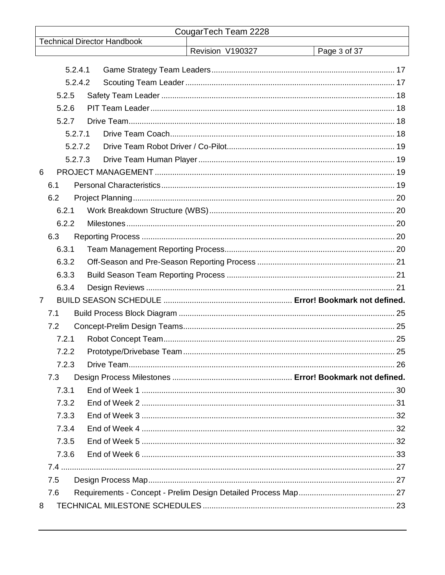| CougarTech Team 2228 |                                    |                  |              |
|----------------------|------------------------------------|------------------|--------------|
|                      | <b>Technical Director Handbook</b> | Revision V190327 | Page 3 of 37 |
|                      |                                    |                  |              |
| 5.2.4.1              |                                    |                  |              |
| 5.2.4.2              |                                    |                  |              |
| 5.2.5                |                                    |                  |              |
| 5.2.6                |                                    |                  |              |
| 5.2.7                |                                    |                  |              |
| 5.2.7.1              |                                    |                  |              |
| 5.2.7.2              |                                    |                  |              |
| 5.2.7.3              |                                    |                  |              |
| 6                    |                                    |                  |              |
| 6.1                  |                                    |                  |              |
| 6.2                  |                                    |                  |              |
| 6.2.1                |                                    |                  |              |
| 6.2.2                |                                    |                  |              |
| 6.3                  |                                    |                  |              |
| 6.3.1                |                                    |                  |              |
| 6.3.2                |                                    |                  |              |
| 6.3.3                |                                    |                  |              |
| 6.3.4                |                                    |                  |              |
| 7                    |                                    |                  |              |
| 7.1                  |                                    |                  |              |
| 7.2                  |                                    |                  |              |
| 7.2.1                |                                    |                  |              |
| 7.2.2                |                                    |                  |              |
| 7.2.3                |                                    |                  |              |
| 7.3                  |                                    |                  |              |
| 7.3.1                |                                    |                  |              |
| 7.3.2                |                                    |                  |              |
| 7.3.3                |                                    |                  |              |
| 7.3.4                |                                    |                  |              |
| 7.3.5                |                                    |                  |              |
| 7.3.6                |                                    |                  |              |
|                      |                                    |                  |              |
| 7.5                  |                                    |                  |              |
| 7.6                  |                                    |                  |              |
| 8                    |                                    |                  |              |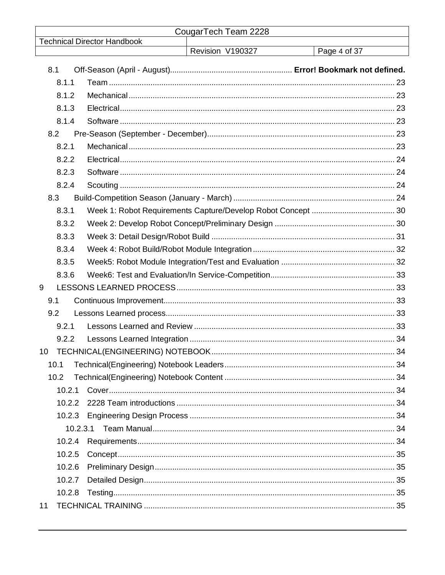| CougarTech Team 2228 |                                    |                  |              |
|----------------------|------------------------------------|------------------|--------------|
|                      | <b>Technical Director Handbook</b> | Revision V190327 | Page 4 of 37 |
| 8.1                  |                                    |                  |              |
| 8.1.1                |                                    |                  |              |
| 8.1.2                |                                    |                  |              |
| 8.1.3                |                                    |                  |              |
| 8.1.4                |                                    |                  |              |
| 8.2                  |                                    |                  |              |
| 8.2.1                |                                    |                  |              |
| 8.2.2                |                                    |                  |              |
| 8.2.3                |                                    |                  |              |
| 8.2.4                |                                    |                  |              |
| 8.3                  |                                    |                  |              |
| 8.3.1                |                                    |                  |              |
| 8.3.2                |                                    |                  |              |
| 8.3.3                |                                    |                  |              |
| 8.3.4                |                                    |                  |              |
| 8.3.5                |                                    |                  |              |
| 8.3.6                |                                    |                  |              |
| 9                    |                                    |                  |              |
| 9.1                  |                                    |                  |              |
| 9.2                  |                                    |                  |              |
| 9.2.1                |                                    |                  |              |
| 9.2.2                |                                    |                  |              |
|                      |                                    |                  |              |
| 10.1                 |                                    |                  |              |
| 10.2                 |                                    |                  |              |
| 10.2.1               |                                    |                  |              |
| 10.2.2               |                                    |                  |              |
|                      |                                    |                  |              |
|                      |                                    |                  |              |
|                      |                                    |                  |              |
| 10.2.5               |                                    |                  |              |
| 10.2.6               |                                    |                  |              |
| 10.2.7               |                                    |                  |              |
| 10.2.8               |                                    |                  |              |
| 11                   |                                    |                  |              |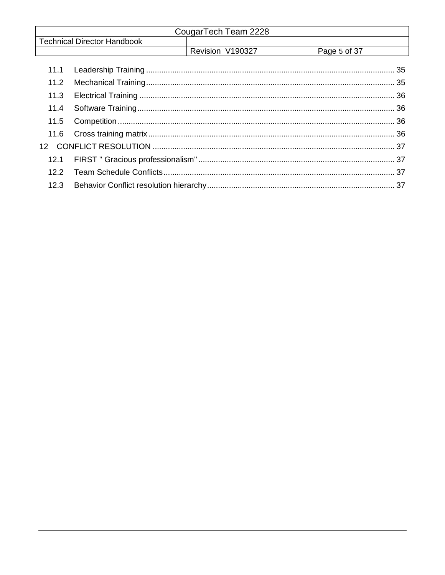| CougarTech Team 2228 |                                    |                  |              |
|----------------------|------------------------------------|------------------|--------------|
|                      | <b>Technical Director Handbook</b> |                  |              |
|                      |                                    | Revision V190327 | Page 5 of 37 |
| 11.1                 |                                    |                  |              |
| 11.2                 |                                    |                  |              |
| 11.3                 |                                    |                  |              |
| 11.4                 |                                    |                  |              |
| 11.5                 |                                    |                  |              |
| 11.6                 |                                    |                  |              |
| 12 <sup>°</sup>      |                                    |                  |              |
| 12.1                 |                                    |                  |              |
| 12.2 <sub>2</sub>    |                                    |                  |              |
| 12.3                 |                                    |                  |              |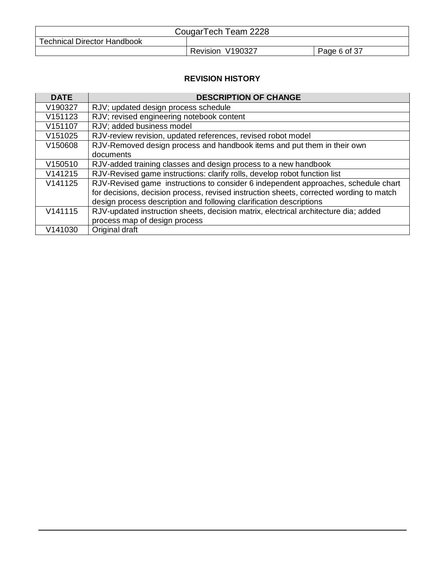| CougarTech Team 2228               |                  |              |  |
|------------------------------------|------------------|--------------|--|
| <b>Technical Director Handbook</b> |                  |              |  |
|                                    | Revision V190327 | Page 6 of 37 |  |

## **REVISION HISTORY**

| <b>DATE</b> | <b>DESCRIPTION OF CHANGE</b>                                                            |
|-------------|-----------------------------------------------------------------------------------------|
| V190327     | RJV; updated design process schedule                                                    |
| V151123     | RJV; revised engineering notebook content                                               |
| V151107     | RJV; added business model                                                               |
| V151025     | RJV-review revision, updated references, revised robot model                            |
| V150608     | RJV-Removed design process and handbook items and put them in their own                 |
|             | documents                                                                               |
| V150510     | RJV-added training classes and design process to a new handbook                         |
| V141215     | RJV-Revised game instructions: clarify rolls, develop robot function list               |
| V141125     | RJV-Revised game instructions to consider 6 independent approaches, schedule chart      |
|             | for decisions, decision process, revised instruction sheets, corrected wording to match |
|             | design process description and following clarification descriptions                     |
| V141115     | RJV-updated instruction sheets, decision matrix, electrical architecture dia; added     |
|             | process map of design process                                                           |
| V141030     | Original draft                                                                          |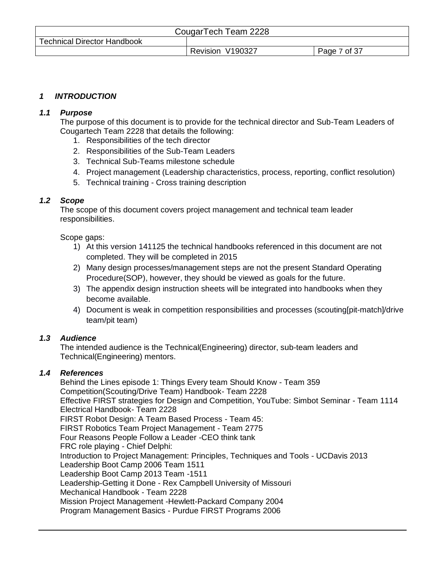| CougarTech Team 2228               |                  |              |  |
|------------------------------------|------------------|--------------|--|
| <b>Technical Director Handbook</b> |                  |              |  |
|                                    | Revision V190327 | Page 7 of 37 |  |

## <span id="page-6-0"></span>*1 INTRODUCTION*

#### <span id="page-6-1"></span>*1.1 Purpose*

The purpose of this document is to provide for the technical director and Sub-Team Leaders of Cougartech Team 2228 that details the following:

- 1. Responsibilities of the tech director
- 2. Responsibilities of the Sub-Team Leaders
- 3. Technical Sub-Teams milestone schedule
- 4. Project management (Leadership characteristics, process, reporting, conflict resolution)
- 5. Technical training Cross training description

#### <span id="page-6-2"></span>*1.2 Scope*

The scope of this document covers project management and technical team leader responsibilities.

Scope gaps:

- 1) At this version 141125 the technical handbooks referenced in this document are not completed. They will be completed in 2015
- 2) Many design processes/management steps are not the present Standard Operating Procedure(SOP), however, they should be viewed as goals for the future.
- 3) The appendix design instruction sheets will be integrated into handbooks when they become available.
- 4) Document is weak in competition responsibilities and processes (scouting[pit-match]/drive team/pit team)

#### <span id="page-6-3"></span>*1.3 Audience*

The intended audience is the Technical(Engineering) director, sub-team leaders and Technical(Engineering) mentors.

## <span id="page-6-4"></span>*1.4 References*

Behind the Lines episode 1: Things Every team Should Know - Team 359 Competition(Scouting/Drive Team) Handbook- Team 2228 Effective FIRST strategies for Design and Competition, YouTube: Simbot Seminar - Team 1114 Electrical Handbook- Team 2228 FIRST Robot Design: A Team Based Process - Team 45: FIRST Robotics Team Project Management - Team 2775 Four Reasons People Follow a Leader -CEO think tank FRC role playing - Chief Delphi: Introduction to Project Management: Principles, Techniques and Tools - UCDavis 2013 Leadership Boot Camp 2006 Team 1511 Leadership Boot Camp 2013 Team -1511 Leadership-Getting it Done - Rex Campbell University of Missouri Mechanical Handbook - Team 2228 Mission Project Management -Hewlett-Packard Company 2004 Program Management Basics - Purdue FIRST Programs 2006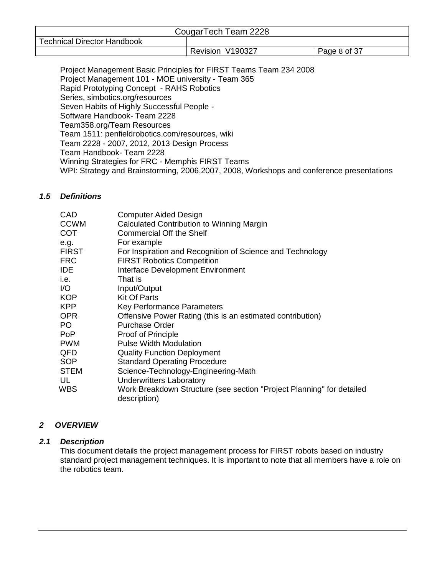| CougarTech Team 2228               |                  |              |  |
|------------------------------------|------------------|--------------|--|
| <b>Technical Director Handbook</b> |                  |              |  |
|                                    | Revision V190327 | Page 8 of 37 |  |

Project Management Basic Principles for FIRST Teams Team 234 2008 Project Management 101 - MOE university - Team 365 Rapid Prototyping Concept - RAHS Robotics Series, simbotics.org/resources Seven Habits of Highly Successful People - Software Handbook- Team 2228 Team358.org/Team Resources Team 1511: penfieldrobotics.com/resources, wiki Team 2228 - 2007, 2012, 2013 Design Process Team Handbook- Team 2228 Winning Strategies for FRC - Memphis FIRST Teams WPI: Strategy and Brainstorming, 2006,2007, 2008, Workshops and conference presentations

#### <span id="page-7-0"></span>*1.5 Definitions*

| CAD          | <b>Computer Aided Design</b>                                                          |
|--------------|---------------------------------------------------------------------------------------|
| <b>CCWM</b>  | Calculated Contribution to Winning Margin                                             |
| <b>COT</b>   | <b>Commercial Off the Shelf</b>                                                       |
| e.g.         | For example                                                                           |
| <b>FIRST</b> | For Inspiration and Recognition of Science and Technology                             |
| <b>FRC</b>   | <b>FIRST Robotics Competition</b>                                                     |
| <b>IDE</b>   | Interface Development Environment                                                     |
| i.e.         | That is                                                                               |
| 1/O          | Input/Output                                                                          |
| <b>KOP</b>   | <b>Kit Of Parts</b>                                                                   |
| <b>KPP</b>   | Key Performance Parameters                                                            |
| <b>OPR</b>   | Offensive Power Rating (this is an estimated contribution)                            |
| PO.          | <b>Purchase Order</b>                                                                 |
| PoP          | Proof of Principle                                                                    |
| <b>PWM</b>   | <b>Pulse Width Modulation</b>                                                         |
| QFD          | <b>Quality Function Deployment</b>                                                    |
| <b>SOP</b>   | <b>Standard Operating Procedure</b>                                                   |
| <b>STEM</b>  | Science-Technology-Engineering-Math                                                   |
| UL           | <b>Underwritters Laboratory</b>                                                       |
| WBS          | Work Breakdown Structure (see section "Project Planning" for detailed<br>description) |

# <span id="page-7-1"></span>*2 OVERVIEW*

## <span id="page-7-2"></span>*2.1 Description*

This document details the project management process for FIRST robots based on industry standard project management techniques. It is important to note that all members have a role on the robotics team.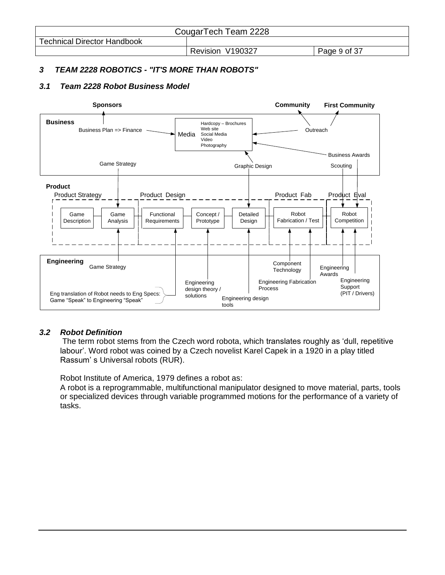| CougarTech Team 2228               |                  |              |  |
|------------------------------------|------------------|--------------|--|
| <b>Technical Director Handbook</b> |                  |              |  |
|                                    | Revision V190327 | Page 9 of 37 |  |

#### <span id="page-8-0"></span>*3 TEAM 2228 ROBOTICS - "IT'S MORE THAN ROBOTS"*

#### <span id="page-8-1"></span>*3.1 Team 2228 Robot Business Model*



#### <span id="page-8-2"></span>*3.2 Robot Definition*

The term robot stems from the Czech word robota, which translates roughly as 'dull, repetitive labour'. Word robot was coined by a Czech novelist Karel Capek in a 1920 in a play titled Rassum' s Universal robots (RUR).

Robot Institute of America, 1979 defines a robot as:

A robot is a reprogrammable, multifunctional manipulator designed to move material, parts, tools or specialized devices through variable programmed motions for the performance of a variety of tasks.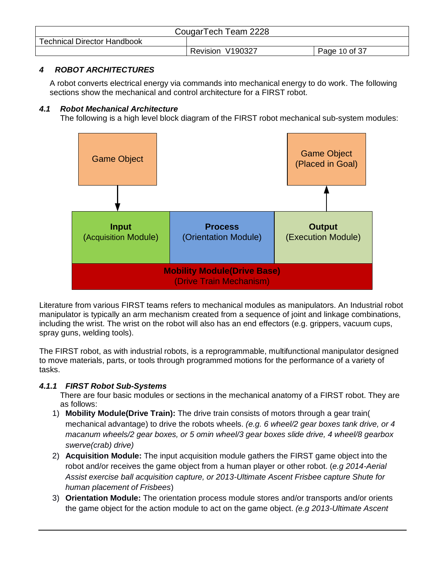| CougarTech Team 2228               |                  |               |
|------------------------------------|------------------|---------------|
| <b>Technical Director Handbook</b> |                  |               |
|                                    | Revision V190327 | Page 10 of 37 |

# <span id="page-9-0"></span>*4 ROBOT ARCHITECTURES*

A robot converts electrical energy via commands into mechanical energy to do work. The following sections show the mechanical and control architecture for a FIRST robot.

#### <span id="page-9-1"></span>*4.1 Robot Mechanical Architecture*

The following is a high level block diagram of the FIRST robot mechanical sub-system modules:



Literature from various FIRST teams refers to mechanical modules as manipulators. An Industrial robot manipulator is typically an arm mechanism created from a sequence of joint and linkage combinations, including the wrist. The wrist on the robot will also has an end effectors (e.g. grippers, vacuum cups, spray guns, welding tools).

The FIRST robot, as with industrial robots, is a reprogrammable, multifunctional manipulator designed to move materials, parts, or tools through programmed motions for the performance of a variety of tasks.

## <span id="page-9-2"></span>*4.1.1 FIRST Robot Sub-Systems*

There are four basic modules or sections in the mechanical anatomy of a FIRST robot. They are as follows:

- 1) **Mobility Module(Drive Train):** The drive train consists of motors through a gear train( mechanical advantage) to drive the robots wheels. *(e.g. 6 wheel/2 gear boxes tank drive, or 4 macanum wheels/2 gear boxes, or 5 omin wheel/3 gear boxes slide drive, 4 wheel/8 gearbox swerve(crab) drive)*
- 2) **Acquisition Module:** The input acquisition module gathers the FIRST game object into the robot and/or receives the game object from a human player or other robot. (*e.g 2014-Aerial Assist exercise ball acquisition capture, or 2013-Ultimate Ascent Frisbee capture Shute for human placement of Frisbees*)
- 3) **Orientation Module:** The orientation process module stores and/or transports and/or orients the game object for the action module to act on the game object. *(e.g 2013-Ultimate Ascent*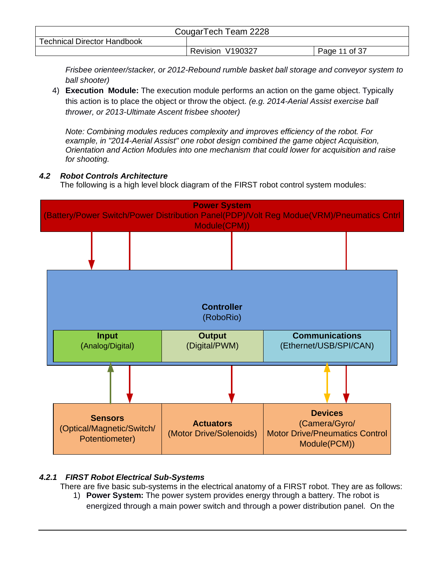| CougarTech Team 2228               |                     |               |
|------------------------------------|---------------------|---------------|
| <b>Technical Director Handbook</b> |                     |               |
|                                    | V190327<br>Revision | Page 11 of 37 |

*Frisbee orienteer/stacker, or 2012-Rebound rumble basket ball storage and conveyor system to ball shooter)*

4) **Execution Module:** The execution module performs an action on the game object. Typically this action is to place the object or throw the object. *(e.g. 2014-Aerial Assist exercise ball thrower, or 2013-Ultimate Ascent frisbee shooter)*

*Note: Combining modules reduces complexity and improves efficiency of the robot. For example, in "2014-Aerial Assist" one robot design combined the game object Acquisition, Orientation and Action Modules into one mechanism that could lower for acquisition and raise for shooting.*

#### <span id="page-10-0"></span>*4.2 Robot Controls Architecture*

The following is a high level block diagram of the FIRST robot control system modules:



## <span id="page-10-1"></span>*4.2.1 FIRST Robot Electrical Sub-Systems*

There are five basic sub-systems in the electrical anatomy of a FIRST robot. They are as follows:

1) **Power System:** The power system provides energy through a battery. The robot is energized through a main power switch and through a power distribution panel. On the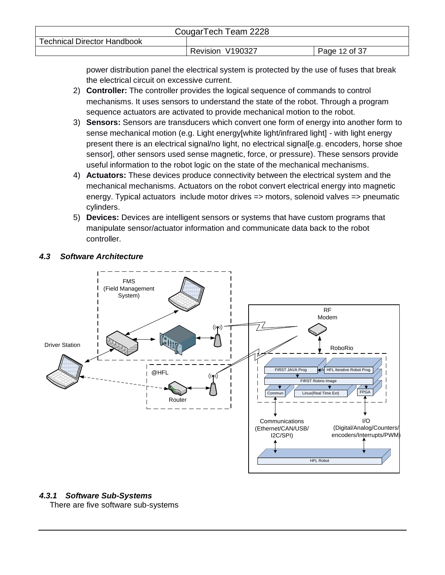| CougarTech Team 2228               |                  |               |
|------------------------------------|------------------|---------------|
| <b>Technical Director Handbook</b> |                  |               |
|                                    | Revision V190327 | Page 12 of 37 |

power distribution panel the electrical system is protected by the use of fuses that break the electrical circuit on excessive current.

- 2) **Controller:** The controller provides the logical sequence of commands to control mechanisms. It uses sensors to understand the state of the robot. Through a program sequence actuators are activated to provide mechanical motion to the robot.
- 3) **Sensors:** Sensors are transducers which convert one form of energy into another form to sense mechanical motion (e.g. Light energy[white light/infrared light] - with light energy present there is an electrical signal/no light, no electrical signal[e.g. encoders, horse shoe sensor], other sensors used sense magnetic, force, or pressure). These sensors provide useful information to the robot logic on the state of the mechanical mechanisms.
- 4) **Actuators:** These devices produce connectivity between the electrical system and the mechanical mechanisms. Actuators on the robot convert electrical energy into magnetic energy. Typical actuators include motor drives => motors, solenoid valves => pneumatic cylinders.
- 5) **Devices:** Devices are intelligent sensors or systems that have custom programs that manipulate sensor/actuator information and communicate data back to the robot controller.

## <span id="page-11-0"></span>*4.3 Software Architecture*



## <span id="page-11-1"></span>*4.3.1 Software Sub-Systems*

There are five software sub-systems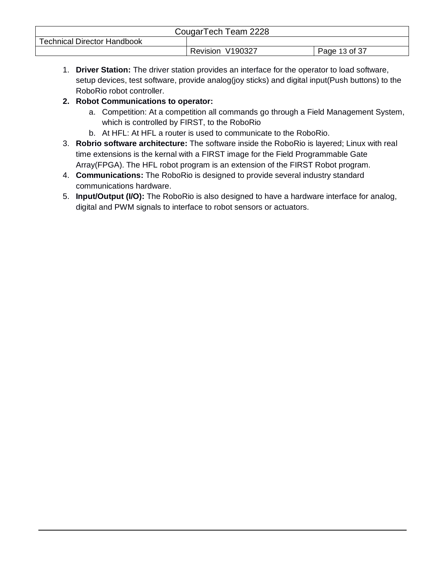| CougarTech Team 2228               |                  |               |
|------------------------------------|------------------|---------------|
| <b>Technical Director Handbook</b> |                  |               |
|                                    | Revision V190327 | Page 13 of 37 |

1. **Driver Station:** The driver station provides an interface for the operator to load software, setup devices, test software, provide analog(joy sticks) and digital input(Push buttons) to the RoboRio robot controller.

# **2. Robot Communications to operator:**

- a. Competition: At a competition all commands go through a Field Management System, which is controlled by FIRST, to the RoboRio
- b. At HFL: At HFL a router is used to communicate to the RoboRio.
- 3. **Robrio software architecture:** The software inside the RoboRio is layered; Linux with real time extensions is the kernal with a FIRST image for the Field Programmable Gate Array(FPGA). The HFL robot program is an extension of the FIRST Robot program.
- 4. **Communications:** The RoboRio is designed to provide several industry standard communications hardware.
- 5. **Input/Output (I/O):** The RoboRio is also designed to have a hardware interface for analog, digital and PWM signals to interface to robot sensors or actuators.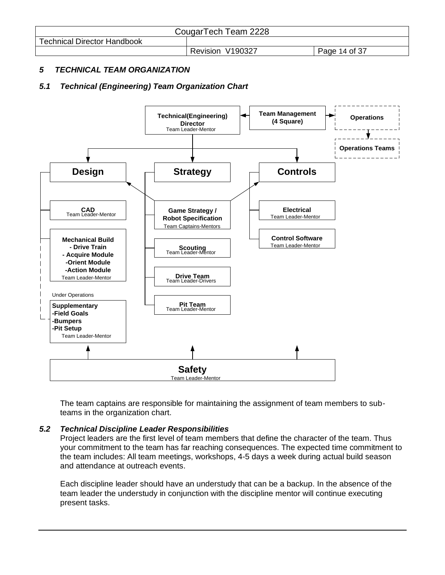| CougarTech Team 2228               |                  |               |
|------------------------------------|------------------|---------------|
| <b>Technical Director Handbook</b> |                  |               |
|                                    | Revision V190327 | Page 14 of 37 |

## <span id="page-13-0"></span>*5 TECHNICAL TEAM ORGANIZATION*

# <span id="page-13-1"></span>*5.1 Technical (Engineering) Team Organization Chart*



The team captains are responsible for maintaining the assignment of team members to subteams in the organization chart.

#### <span id="page-13-2"></span>*5.2 Technical Discipline Leader Responsibilities*

Project leaders are the first level of team members that define the character of the team. Thus your commitment to the team has far reaching consequences. The expected time commitment to the team includes: All team meetings, workshops, 4-5 days a week during actual build season and attendance at outreach events.

Each discipline leader should have an understudy that can be a backup. In the absence of the team leader the understudy in conjunction with the discipline mentor will continue executing present tasks.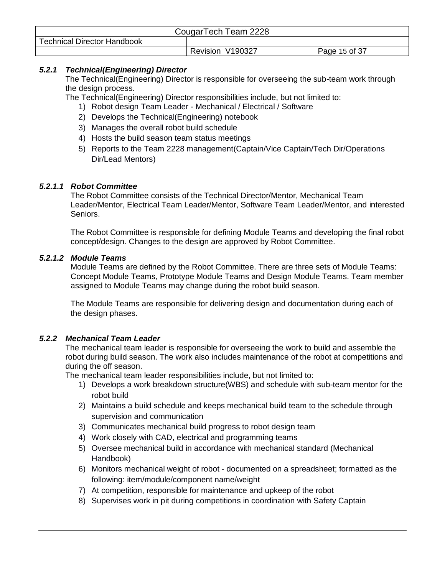| CougarTech Team 2228               |                  |               |
|------------------------------------|------------------|---------------|
| <b>Technical Director Handbook</b> |                  |               |
|                                    | Revision V190327 | Page 15 of 37 |

#### <span id="page-14-0"></span>*5.2.1 Technical(Engineering) Director*

The Technical(Engineering) Director is responsible for overseeing the sub-team work through the design process.

The Technical(Engineering) Director responsibilities include, but not limited to:

- 1) Robot design Team Leader Mechanical / Electrical / Software
- 2) Develops the Technical(Engineering) notebook
- 3) Manages the overall robot build schedule
- 4) Hosts the build season team status meetings
- 5) Reports to the Team 2228 management(Captain/Vice Captain/Tech Dir/Operations Dir/Lead Mentors)

#### <span id="page-14-1"></span>*5.2.1.1 Robot Committee*

The Robot Committee consists of the Technical Director/Mentor, Mechanical Team Leader/Mentor, Electrical Team Leader/Mentor, Software Team Leader/Mentor, and interested Seniors.

The Robot Committee is responsible for defining Module Teams and developing the final robot concept/design. Changes to the design are approved by Robot Committee.

#### <span id="page-14-2"></span>*5.2.1.2 Module Teams*

Module Teams are defined by the Robot Committee. There are three sets of Module Teams: Concept Module Teams, Prototype Module Teams and Design Module Teams. Team member assigned to Module Teams may change during the robot build season.

The Module Teams are responsible for delivering design and documentation during each of the design phases.

#### <span id="page-14-3"></span>*5.2.2 Mechanical Team Leader*

The mechanical team leader is responsible for overseeing the work to build and assemble the robot during build season. The work also includes maintenance of the robot at competitions and during the off season.

The mechanical team leader responsibilities include, but not limited to:

- 1) Develops a work breakdown structure(WBS) and schedule with sub-team mentor for the robot build
- 2) Maintains a build schedule and keeps mechanical build team to the schedule through supervision and communication
- 3) Communicates mechanical build progress to robot design team
- 4) Work closely with CAD, electrical and programming teams
- 5) Oversee mechanical build in accordance with mechanical standard (Mechanical Handbook)
- 6) Monitors mechanical weight of robot documented on a spreadsheet; formatted as the following: item/module/component name/weight
- 7) At competition, responsible for maintenance and upkeep of the robot
- 8) Supervises work in pit during competitions in coordination with Safety Captain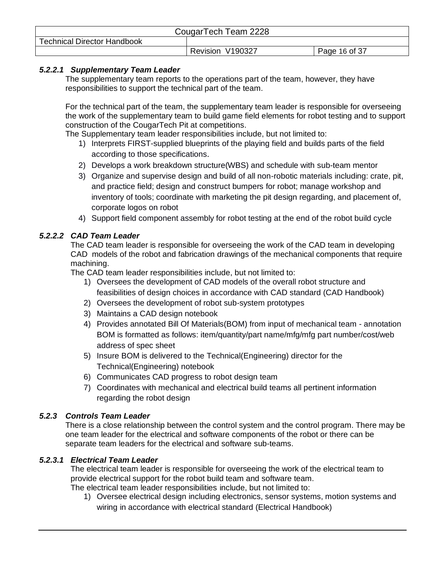| CougarTech Team 2228               |                  |               |
|------------------------------------|------------------|---------------|
| <b>Technical Director Handbook</b> |                  |               |
|                                    | Revision V190327 | Page 16 of 37 |

## <span id="page-15-0"></span>*5.2.2.1 Supplementary Team Leader*

The supplementary team reports to the operations part of the team, however, they have responsibilities to support the technical part of the team.

For the technical part of the team, the supplementary team leader is responsible for overseeing the work of the supplementary team to build game field elements for robot testing and to support construction of the CougarTech Pit at competitions.

The Supplementary team leader responsibilities include, but not limited to:

- 1) Interprets FIRST-supplied blueprints of the playing field and builds parts of the field according to those specifications.
- 2) Develops a work breakdown structure(WBS) and schedule with sub-team mentor
- 3) Organize and supervise design and build of all non-robotic materials including: crate, pit, and practice field; design and construct bumpers for robot; manage workshop and inventory of tools; coordinate with marketing the pit design regarding, and placement of, corporate logos on robot
- 4) Support field component assembly for robot testing at the end of the robot build cycle

## <span id="page-15-1"></span>*5.2.2.2 CAD Team Leader*

The CAD team leader is responsible for overseeing the work of the CAD team in developing CAD models of the robot and fabrication drawings of the mechanical components that require machining.

The CAD team leader responsibilities include, but not limited to:

- 1) Oversees the development of CAD models of the overall robot structure and feasibilities of design choices in accordance with CAD standard (CAD Handbook)
- 2) Oversees the development of robot sub-system prototypes
- 3) Maintains a CAD design notebook
- 4) Provides annotated Bill Of Materials(BOM) from input of mechanical team annotation BOM is formatted as follows: item/quantity/part name/mfg/mfg part number/cost/web address of spec sheet
- 5) Insure BOM is delivered to the Technical(Engineering) director for the Technical(Engineering) notebook
- 6) Communicates CAD progress to robot design team
- 7) Coordinates with mechanical and electrical build teams all pertinent information regarding the robot design

#### <span id="page-15-2"></span>*5.2.3 Controls Team Leader*

There is a close relationship between the control system and the control program. There may be one team leader for the electrical and software components of the robot or there can be separate team leaders for the electrical and software sub-teams.

#### <span id="page-15-3"></span>*5.2.3.1 Electrical Team Leader*

The electrical team leader is responsible for overseeing the work of the electrical team to provide electrical support for the robot build team and software team. The electrical team leader responsibilities include, but not limited to:

1) Oversee electrical design including electronics, sensor systems, motion systems and wiring in accordance with electrical standard (Electrical Handbook)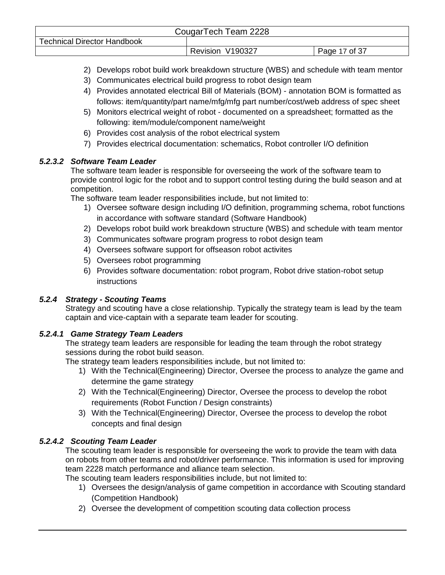| CougarTech Team 2228               |                  |               |
|------------------------------------|------------------|---------------|
| <b>Technical Director Handbook</b> |                  |               |
|                                    | Revision V190327 | Page 17 of 37 |

- 2) Develops robot build work breakdown structure (WBS) and schedule with team mentor
- 3) Communicates electrical build progress to robot design team
- 4) Provides annotated electrical Bill of Materials (BOM) annotation BOM is formatted as follows: item/quantity/part name/mfg/mfg part number/cost/web address of spec sheet
- 5) Monitors electrical weight of robot documented on a spreadsheet; formatted as the following: item/module/component name/weight
- 6) Provides cost analysis of the robot electrical system
- 7) Provides electrical documentation: schematics, Robot controller I/O definition

#### <span id="page-16-0"></span>*5.2.3.2 Software Team Leader*

The software team leader is responsible for overseeing the work of the software team to provide control logic for the robot and to support control testing during the build season and at competition.

The software team leader responsibilities include, but not limited to:

- 1) Oversee software design including I/O definition, programming schema, robot functions in accordance with software standard (Software Handbook)
- 2) Develops robot build work breakdown structure (WBS) and schedule with team mentor
- 3) Communicates software program progress to robot design team
- 4) Oversees software support for offseason robot activites
- 5) Oversees robot programming
- 6) Provides software documentation: robot program, Robot drive station-robot setup instructions

#### <span id="page-16-1"></span>*5.2.4 Strategy - Scouting Teams*

Strategy and scouting have a close relationship. Typically the strategy team is lead by the team captain and vice-captain with a separate team leader for scouting.

#### <span id="page-16-2"></span>*5.2.4.1 Game Strategy Team Leaders*

The strategy team leaders are responsible for leading the team through the robot strategy sessions during the robot build season.

The strategy team leaders responsibilities include, but not limited to:

- 1) With the Technical(Engineering) Director, Oversee the process to analyze the game and determine the game strategy
- 2) With the Technical(Engineering) Director, Oversee the process to develop the robot requirements (Robot Function / Design constraints)
- 3) With the Technical(Engineering) Director, Oversee the process to develop the robot concepts and final design

## <span id="page-16-3"></span>*5.2.4.2 Scouting Team Leader*

The scouting team leader is responsible for overseeing the work to provide the team with data on robots from other teams and robot/driver performance. This information is used for improving team 2228 match performance and alliance team selection.

The scouting team leaders responsibilities include, but not limited to:

- 1) Oversees the design/analysis of game competition in accordance with Scouting standard (Competition Handbook)
- 2) Oversee the development of competition scouting data collection process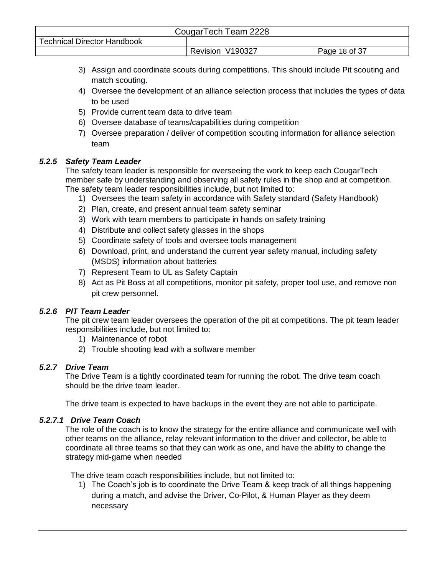| CougarTech Team 2228               |                  |               |
|------------------------------------|------------------|---------------|
| <b>Technical Director Handbook</b> |                  |               |
|                                    | Revision V190327 | Page 18 of 37 |

- 3) Assign and coordinate scouts during competitions. This should include Pit scouting and match scouting.
- 4) Oversee the development of an alliance selection process that includes the types of data to be used
- 5) Provide current team data to drive team
- 6) Oversee database of teams/capabilities during competition
- 7) Oversee preparation / deliver of competition scouting information for alliance selection team

## <span id="page-17-0"></span>*5.2.5 Safety Team Leader*

The safety team leader is responsible for overseeing the work to keep each CougarTech member safe by understanding and observing all safety rules in the shop and at competition. The safety team leader responsibilities include, but not limited to:

- 1) Oversees the team safety in accordance with Safety standard (Safety Handbook)
- 2) Plan, create, and present annual team safety seminar
- 3) Work with team members to participate in hands on safety training
- 4) Distribute and collect safety glasses in the shops
- 5) Coordinate safety of tools and oversee tools management
- 6) Download, print, and understand the current year safety manual, including safety (MSDS) information about batteries
- 7) Represent Team to UL as Safety Captain
- 8) Act as Pit Boss at all competitions, monitor pit safety, proper tool use, and remove non pit crew personnel.

# <span id="page-17-1"></span>*5.2.6 PIT Team Leader*

The pit crew team leader oversees the operation of the pit at competitions. The pit team leader responsibilities include, but not limited to:

- 1) Maintenance of robot
- 2) Trouble shooting lead with a software member

# <span id="page-17-2"></span>*5.2.7 Drive Team*

The Drive Team is a tightly coordinated team for running the robot. The drive team coach should be the drive team leader.

The drive team is expected to have backups in the event they are not able to participate.

## <span id="page-17-3"></span>*5.2.7.1 Drive Team Coach*

The role of the coach is to know the strategy for the entire alliance and communicate well with other teams on the alliance, relay relevant information to the driver and collector, be able to coordinate all three teams so that they can work as one, and have the ability to change the strategy mid-game when needed

The drive team coach responsibilities include, but not limited to:

1) The Coach's job is to coordinate the Drive Team & keep track of all things happening during a match, and advise the Driver, Co-Pilot, & Human Player as they deem necessary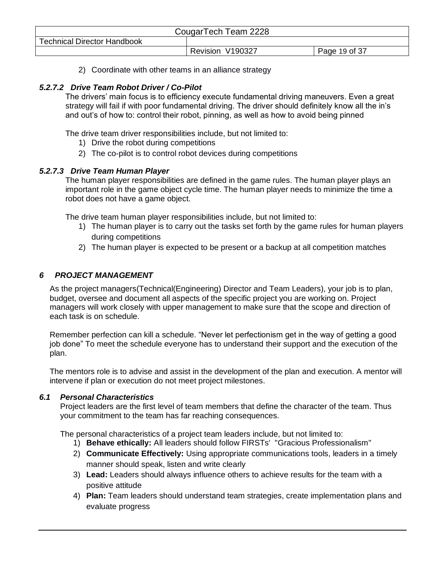| CougarTech Team 2228               |                  |               |
|------------------------------------|------------------|---------------|
| <b>Technical Director Handbook</b> |                  |               |
|                                    | Revision V190327 | Page 19 of 37 |

2) Coordinate with other teams in an alliance strategy

## <span id="page-18-0"></span>*5.2.7.2 Drive Team Robot Driver / Co-Pilot*

The drivers' main focus is to efficiency execute fundamental driving maneuvers. Even a great strategy will fail if with poor fundamental driving. The driver should definitely know all the in's and out's of how to: control their robot, pinning, as well as how to avoid being pinned

The drive team driver responsibilities include, but not limited to:

- 1) Drive the robot during competitions
- 2) The co-pilot is to control robot devices during competitions

#### <span id="page-18-1"></span>*5.2.7.3 Drive Team Human Player*

The human player responsibilities are defined in the game rules. The human player plays an important role in the game object cycle time. The human player needs to minimize the time a robot does not have a game object.

The drive team human player responsibilities include, but not limited to:

- 1) The human player is to carry out the tasks set forth by the game rules for human players during competitions
- 2) The human player is expected to be present or a backup at all competition matches

## <span id="page-18-2"></span>*6 PROJECT MANAGEMENT*

As the project managers(Technical(Engineering) Director and Team Leaders), your job is to plan, budget, oversee and document all aspects of the specific project you are working on. Project managers will work closely with upper management to make sure that the scope and direction of each task is on schedule.

Remember perfection can kill a schedule. "Never let perfectionism get in the way of getting a good job done" To meet the schedule everyone has to understand their support and the execution of the plan.

The mentors role is to advise and assist in the development of the plan and execution. A mentor will intervene if plan or execution do not meet project milestones.

#### <span id="page-18-3"></span>*6.1 Personal Characteristics*

Project leaders are the first level of team members that define the character of the team. Thus your commitment to the team has far reaching consequences.

The personal characteristics of a project team leaders include, but not limited to:

- 1) **Behave ethically:** All leaders should follow FIRSTs' "Gracious Professionalism"
- 2) **Communicate Effectively:** Using appropriate communications tools, leaders in a timely manner should speak, listen and write clearly
- 3) **Lead:** Leaders should always influence others to achieve results for the team with a positive attitude
- 4) **Plan:** Team leaders should understand team strategies, create implementation plans and evaluate progress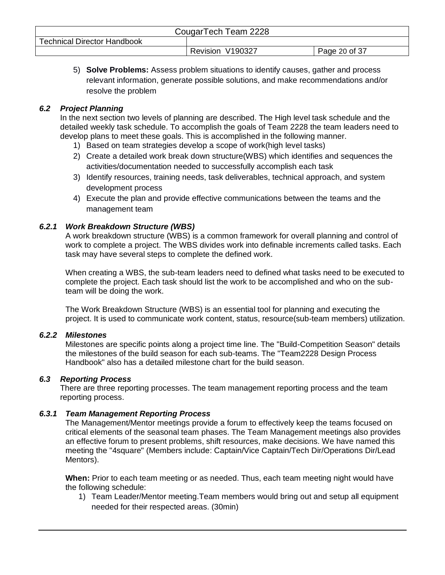| CougarTech Team 2228               |                     |               |
|------------------------------------|---------------------|---------------|
| <b>Technical Director Handbook</b> |                     |               |
|                                    | V190327<br>Revision | Page 20 of 37 |

5) **Solve Problems:** Assess problem situations to identify causes, gather and process relevant information, generate possible solutions, and make recommendations and/or resolve the problem

## <span id="page-19-0"></span>*6.2 Project Planning*

In the next section two levels of planning are described. The High level task schedule and the detailed weekly task schedule. To accomplish the goals of Team 2228 the team leaders need to develop plans to meet these goals. This is accomplished in the following manner.

- 1) Based on team strategies develop a scope of work(high level tasks)
- 2) Create a detailed work break down structure(WBS) which identifies and sequences the activities/documentation needed to successfully accomplish each task
- 3) Identify resources, training needs, task deliverables, technical approach, and system development process
- 4) Execute the plan and provide effective communications between the teams and the management team

## <span id="page-19-1"></span>*6.2.1 Work Breakdown Structure (WBS)*

A work breakdown structure (WBS) is a common framework for overall planning and control of work to complete a project. The WBS divides work into definable increments called tasks. Each task may have several steps to complete the defined work.

When creating a WBS, the sub-team leaders need to defined what tasks need to be executed to complete the project. Each task should list the work to be accomplished and who on the subteam will be doing the work.

The Work Breakdown Structure (WBS) is an essential tool for planning and executing the project. It is used to communicate work content, status, resource(sub-team members) utilization.

## <span id="page-19-2"></span>*6.2.2 Milestones*

Milestones are specific points along a project time line. The "Build-Competition Season" details the milestones of the build season for each sub-teams. The "Team2228 Design Process Handbook" also has a detailed milestone chart for the build season.

## <span id="page-19-3"></span>*6.3 Reporting Process*

There are three reporting processes. The team management reporting process and the team reporting process.

## <span id="page-19-4"></span>*6.3.1 Team Management Reporting Process*

The Management/Mentor meetings provide a forum to effectively keep the teams focused on critical elements of the seasonal team phases. The Team Management meetings also provides an effective forum to present problems, shift resources, make decisions. We have named this meeting the "4square" (Members include: Captain/Vice Captain/Tech Dir/Operations Dir/Lead Mentors).

**When:** Prior to each team meeting or as needed. Thus, each team meeting night would have the following schedule:

1) Team Leader/Mentor meeting.Team members would bring out and setup all equipment needed for their respected areas. (30min)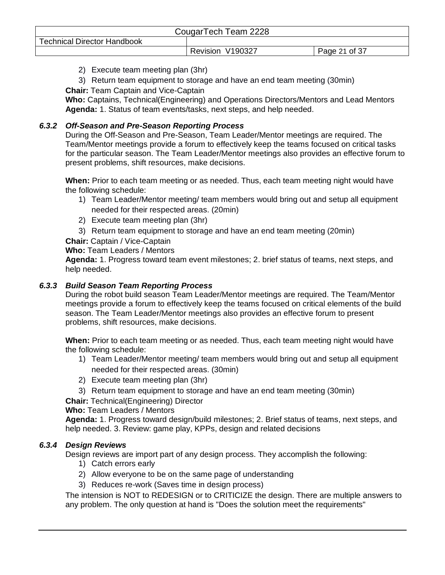| CougarTech Team 2228               |                  |               |
|------------------------------------|------------------|---------------|
| <b>Technical Director Handbook</b> |                  |               |
|                                    | Revision V190327 | Page 21 of 37 |

- 2) Execute team meeting plan (3hr)
- 3) Return team equipment to storage and have an end team meeting (30min)
- **Chair:** Team Captain and Vice-Captain

**Who:** Captains, Technical(Engineering) and Operations Directors/Mentors and Lead Mentors **Agenda:** 1. Status of team events/tasks, next steps, and help needed.

#### <span id="page-20-0"></span>*6.3.2 Off-Season and Pre-Season Reporting Process*

During the Off-Season and Pre-Season, Team Leader/Mentor meetings are required. The Team/Mentor meetings provide a forum to effectively keep the teams focused on critical tasks for the particular season. The Team Leader/Mentor meetings also provides an effective forum to present problems, shift resources, make decisions.

**When:** Prior to each team meeting or as needed. Thus, each team meeting night would have the following schedule:

- 1) Team Leader/Mentor meeting/ team members would bring out and setup all equipment needed for their respected areas. (20min)
- 2) Execute team meeting plan (3hr)
- 3) Return team equipment to storage and have an end team meeting (20min)

**Chair:** Captain / Vice-Captain

**Who:** Team Leaders / Mentors

**Agenda:** 1. Progress toward team event milestones; 2. brief status of teams, next steps, and help needed.

#### <span id="page-20-1"></span>*6.3.3 Build Season Team Reporting Process*

During the robot build season Team Leader/Mentor meetings are required. The Team/Mentor meetings provide a forum to effectively keep the teams focused on critical elements of the build season. The Team Leader/Mentor meetings also provides an effective forum to present problems, shift resources, make decisions.

**When:** Prior to each team meeting or as needed. Thus, each team meeting night would have the following schedule:

- 1) Team Leader/Mentor meeting/ team members would bring out and setup all equipment needed for their respected areas. (30min)
- 2) Execute team meeting plan (3hr)
- 3) Return team equipment to storage and have an end team meeting (30min)

**Chair:** Technical(Engineering) Director

**Who:** Team Leaders / Mentors

**Agenda:** 1. Progress toward design/build milestones; 2. Brief status of teams, next steps, and help needed. 3. Review: game play, KPPs, design and related decisions

#### <span id="page-20-2"></span>*6.3.4 Design Reviews*

Design reviews are import part of any design process. They accomplish the following:

- 1) Catch errors early
- 2) Allow everyone to be on the same page of understanding
- 3) Reduces re-work (Saves time in design process)

The intension is NOT to REDESIGN or to CRITICIZE the design. There are multiple answers to any problem. The only question at hand is "Does the solution meet the requirements"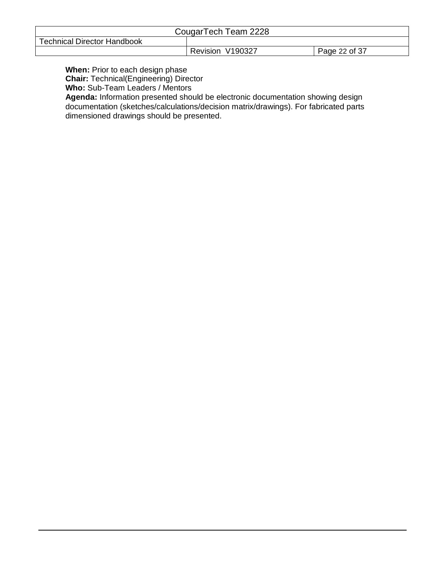| CougarTech Team 2228               |                  |               |  |
|------------------------------------|------------------|---------------|--|
| <b>Technical Director Handbook</b> |                  |               |  |
|                                    | Revision V190327 | Page 22 of 37 |  |

**When:** Prior to each design phase

**Chair:** Technical(Engineering) Director

**Who:** Sub-Team Leaders / Mentors

**Agenda:** Information presented should be electronic documentation showing design documentation (sketches/calculations/decision matrix/drawings). For fabricated parts dimensioned drawings should be presented.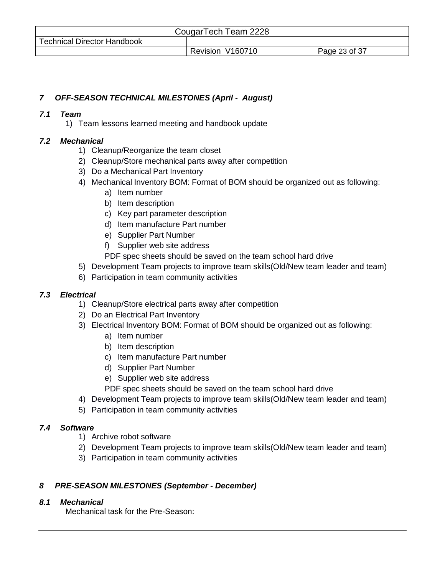| CougarTech Team 2228               |                  |               |  |  |  |
|------------------------------------|------------------|---------------|--|--|--|
| <b>Technical Director Handbook</b> |                  |               |  |  |  |
|                                    | Revision V160710 | Page 23 of 37 |  |  |  |

## <span id="page-22-0"></span>*7 OFF-SEASON TECHNICAL MILESTONES (April - August)*

#### <span id="page-22-1"></span>*7.1 Team*

1) Team lessons learned meeting and handbook update

#### <span id="page-22-2"></span>*7.2 Mechanical*

- 1) Cleanup/Reorganize the team closet
- 2) Cleanup/Store mechanical parts away after competition
- 3) Do a Mechanical Part Inventory
- 4) Mechanical Inventory BOM: Format of BOM should be organized out as following:
	- a) Item number
	- b) Item description
	- c) Key part parameter description
	- d) Item manufacture Part number
	- e) Supplier Part Number
	- f) Supplier web site address

PDF spec sheets should be saved on the team school hard drive

- 5) Development Team projects to improve team skills(Old/New team leader and team)
- 6) Participation in team community activities

## <span id="page-22-3"></span>*7.3 Electrical*

- 1) Cleanup/Store electrical parts away after competition
- 2) Do an Electrical Part Inventory
- 3) Electrical Inventory BOM: Format of BOM should be organized out as following:
	- a) Item number
	- b) Item description
	- c) Item manufacture Part number
	- d) Supplier Part Number
	- e) Supplier web site address
	- PDF spec sheets should be saved on the team school hard drive
- 4) Development Team projects to improve team skills(Old/New team leader and team)
- 5) Participation in team community activities

#### <span id="page-22-4"></span>*7.4 Software*

- 1) Archive robot software
- 2) Development Team projects to improve team skills(Old/New team leader and team)
- 3) Participation in team community activities

## <span id="page-22-5"></span>*8 PRE-SEASON MILESTONES (September - December)*

#### <span id="page-22-6"></span>*8.1 Mechanical*

Mechanical task for the Pre-Season: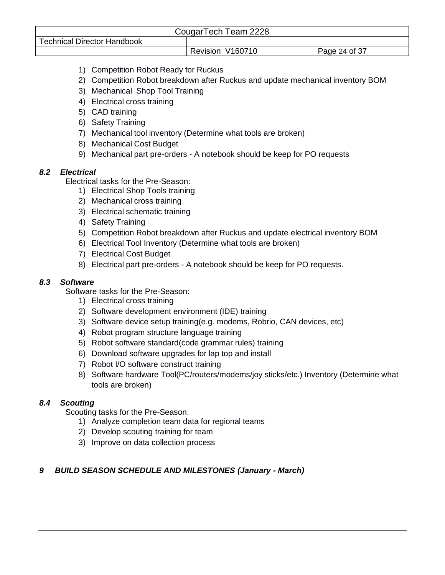| CougarTech Team 2228               |                  |               |  |  |
|------------------------------------|------------------|---------------|--|--|
| <b>Technical Director Handbook</b> |                  |               |  |  |
|                                    | Revision V160710 | Page 24 of 37 |  |  |

- 1) Competition Robot Ready for Ruckus
- 2) Competition Robot breakdown after Ruckus and update mechanical inventory BOM
- 3) Mechanical Shop Tool Training
- 4) Electrical cross training
- 5) CAD training
- 6) Safety Training
- 7) Mechanical tool inventory (Determine what tools are broken)
- 8) Mechanical Cost Budget
- 9) Mechanical part pre-orders A notebook should be keep for PO requests

#### <span id="page-23-0"></span>*8.2 Electrical*

Electrical tasks for the Pre-Season:

- 1) Electrical Shop Tools training
- 2) Mechanical cross training
- 3) Electrical schematic training
- 4) Safety Training
- 5) Competition Robot breakdown after Ruckus and update electrical inventory BOM
- 6) Electrical Tool Inventory (Determine what tools are broken)
- 7) Electrical Cost Budget
- 8) Electrical part pre-orders A notebook should be keep for PO requests.

#### <span id="page-23-1"></span>*8.3 Software*

Software tasks for the Pre-Season:

- 1) Electrical cross training
- 2) Software development environment (IDE) training
- 3) Software device setup training(e.g. modems, Robrio, CAN devices, etc)
- 4) Robot program structure language training
- 5) Robot software standard(code grammar rules) training
- 6) Download software upgrades for lap top and install
- 7) Robot I/O software construct training
- 8) Software hardware Tool(PC/routers/modems/joy sticks/etc.) Inventory (Determine what tools are broken)

## <span id="page-23-2"></span>*8.4 Scouting*

Scouting tasks for the Pre-Season:

- 1) Analyze completion team data for regional teams
- 2) Develop scouting training for team
- 3) Improve on data collection process

## <span id="page-23-3"></span>*9 BUILD SEASON SCHEDULE AND MILESTONES (January - March)*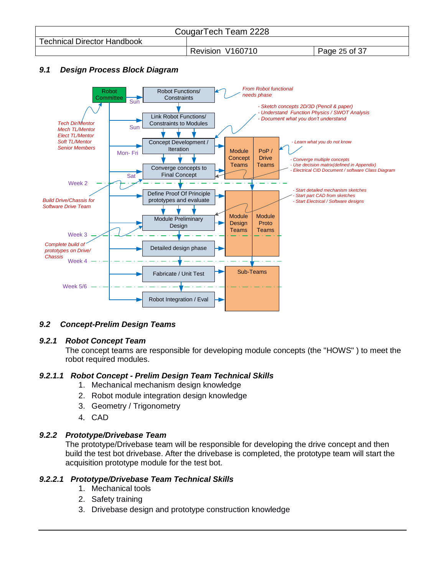| CougarTech Team 2228               |                  |               |  |  |  |
|------------------------------------|------------------|---------------|--|--|--|
| <b>Technical Director Handbook</b> |                  |               |  |  |  |
|                                    | Revision V160710 | Page 25 of 37 |  |  |  |

## <span id="page-24-0"></span>*9.1 Design Process Block Diagram*



## <span id="page-24-1"></span>*9.2 Concept-Prelim Design Teams*

#### <span id="page-24-2"></span>*9.2.1 Robot Concept Team*

The concept teams are responsible for developing module concepts (the "HOWS" ) to meet the robot required modules.

#### *9.2.1.1 Robot Concept - Prelim Design Team Technical Skills*

- 1. Mechanical mechanism design knowledge
- 2. Robot module integration design knowledge
- 3. Geometry / Trigonometry
- 4. CAD

#### <span id="page-24-3"></span>*9.2.2 Prototype/Drivebase Team*

The prototype/Drivebase team will be responsible for developing the drive concept and then build the test bot drivebase. After the drivebase is completed, the prototype team will start the acquisition prototype module for the test bot.

#### *9.2.2.1 Prototype/Drivebase Team Technical Skills*

- 1. Mechanical tools
- 2. Safety training
- 3. Drivebase design and prototype construction knowledge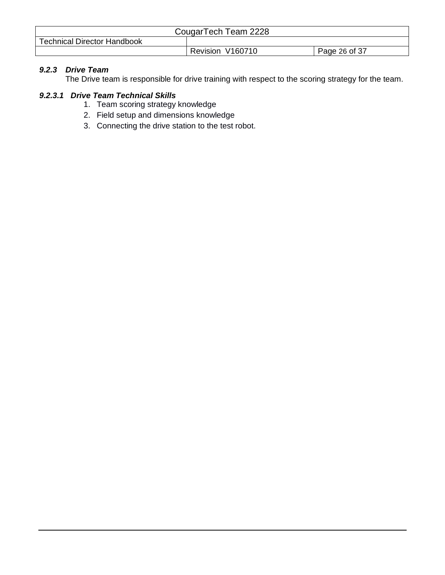| CougarTech Team 2228               |                  |               |  |
|------------------------------------|------------------|---------------|--|
| <b>Technical Director Handbook</b> |                  |               |  |
|                                    | Revision V160710 | Page 26 of 37 |  |

# <span id="page-25-0"></span>*9.2.3 Drive Team*

The Drive team is responsible for drive training with respect to the scoring strategy for the team.

#### *9.2.3.1 Drive Team Technical Skills*

- 1. Team scoring strategy knowledge
- 2. Field setup and dimensions knowledge
- 3. Connecting the drive station to the test robot.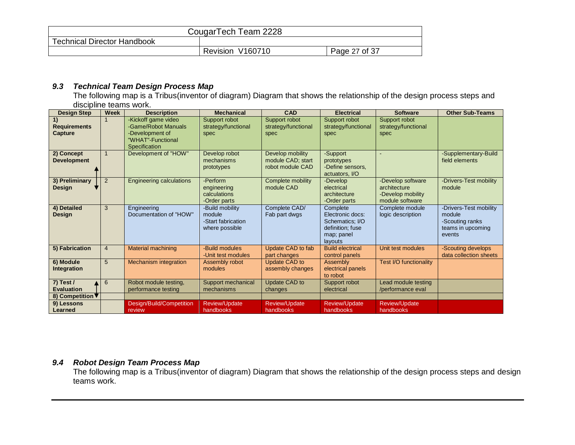| CougarTech Team 2228               |                  |               |  |
|------------------------------------|------------------|---------------|--|
| <b>Technical Director Handbook</b> |                  |               |  |
|                                    | Revision V160710 | Page 27 of 37 |  |

#### *9.3 Technical Team Design Process Map*

The following map is a Tribus(inventor of diagram) Diagram that shows the relationship of the design process steps and discipline teams work.

<span id="page-26-1"></span><span id="page-26-0"></span>

| <b>Design Step</b>                                   | <b>Week</b>    | <b>Description</b>                                                                                  | <b>Mechanical</b>                                                 | CAD                                                       | <b>Electrical</b>                                                                            | <b>Software</b>                                                           | <b>Other Sub-Teams</b>                                                             |
|------------------------------------------------------|----------------|-----------------------------------------------------------------------------------------------------|-------------------------------------------------------------------|-----------------------------------------------------------|----------------------------------------------------------------------------------------------|---------------------------------------------------------------------------|------------------------------------------------------------------------------------|
| 1)<br><b>Requirements</b><br><b>Capture</b>          |                | -Kickoff game video<br>-Game/Robot Manuals<br>-Development of<br>"WHAT"-Functional<br>Specification | Support robot<br>strategy/functional<br>spec                      | Support robot<br>strategy/functional<br>spec              | Support robot<br>strategy/functional<br>spec                                                 | Support robot<br>strategy/functional<br>spec                              |                                                                                    |
| 2) Concept<br><b>Development</b>                     | $\overline{1}$ | Development of "HOW"                                                                                | Develop robot<br>mechanisms<br>prototypes                         | Develop mobility<br>module CAD; start<br>robot module CAD | -Support<br>prototypes<br>-Define sensors,<br>actuators, I/O                                 |                                                                           | -Supplementary-Build<br>field elements                                             |
| 3) Preliminary<br><b>Design</b>                      | $\overline{2}$ | <b>Engineering calculations</b>                                                                     | -Perform<br>engineering<br>calculations<br>-Order parts           | Complete mobility<br>module CAD                           | -Develop<br>electrical<br>architecture<br>-Order parts                                       | -Develop software<br>architecture<br>-Develop mobility<br>module software | -Drivers-Test mobility<br>module                                                   |
| 4) Detailed<br><b>Design</b>                         | 3              | Engineering<br>Documentation of "HOW"                                                               | -Build mobility<br>module<br>-Start fabrication<br>where possible | Complete CAD/<br>Fab part dwgs                            | Complete<br>Electronic docs:<br>Schematics; I/O<br>definition: fuse<br>map; panel<br>layouts | Complete module<br>logic description                                      | -Drivers-Test mobility<br>module<br>-Scouting ranks<br>teams in upcoming<br>events |
| 5) Fabrication                                       | $\overline{4}$ | Material machining                                                                                  | -Build modules<br>-Unit test modules                              | Update CAD to fab<br>part changes                         | <b>Build electrical</b><br>control panels                                                    | Unit test modules                                                         | -Scouting develops<br>data collection sheets                                       |
| 6) Module<br>Integration                             | 5              | Mechanism integration                                                                               | Assembly robot<br>modules                                         | Update CAD to<br>assembly changes                         | Assembly<br>electrical panels<br>to robot                                                    | Test I/O functionality                                                    |                                                                                    |
| 7) Test $/$<br><b>Evaluation</b><br>8) Competition ▼ | 6              | Robot module testing,<br>performance testing                                                        | Support mechanical<br>mechanisms                                  | Update CAD to<br>changes                                  | Support robot<br>electrical                                                                  | Lead module testing<br>/performance eval                                  |                                                                                    |
| 9) Lessons<br>Learned                                |                | Design/Build/Competition<br>review                                                                  | <b>Review/Update</b><br>handbooks                                 | <b>Review/Update</b><br>handbooks                         | Review/Update<br>handbooks                                                                   | Review/Update<br>handbooks                                                |                                                                                    |

#### *9.4 Robot Design Team Process Map*

<span id="page-26-2"></span>The following map is a Tribus(inventor of diagram) Diagram that shows the relationship of the design process steps and design teams work.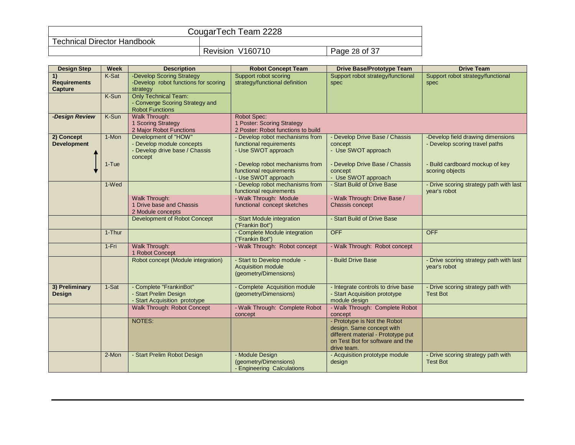| CougarTech Team 2228               |                     |               |  |
|------------------------------------|---------------------|---------------|--|
| <b>Technical Director Handbook</b> |                     |               |  |
|                                    | V160710<br>Revision | Page 28 of 37 |  |

| <b>Design Step</b>                   | <b>Week</b>    | <b>Description</b>                                                                                           | <b>Robot Concept Team</b>                                                         | <b>Drive Base/Prototype Team</b>                                                                                                                   | <b>Drive Team</b>                                                   |
|--------------------------------------|----------------|--------------------------------------------------------------------------------------------------------------|-----------------------------------------------------------------------------------|----------------------------------------------------------------------------------------------------------------------------------------------------|---------------------------------------------------------------------|
| 1)<br><b>Requirements</b><br>Capture | K-Sat<br>K-Sun | -Develop Scoring Strategy<br>-Develop robot functions for scoring<br>strategy<br><b>Only Technical Team:</b> | Support robot scoring<br>strategy/functional definition                           | Support robot strategy/functional<br>spec                                                                                                          | Support robot strategy/functional<br>spec                           |
|                                      |                | - Converge Scoring Strategy and<br><b>Robot Functions</b>                                                    |                                                                                   |                                                                                                                                                    |                                                                     |
| -Design Review                       | K-Sun          | Walk Through:<br>1 Scoring Strategy<br>2 Major Robot Functions                                               | Robot Spec:<br>1 Poster: Scoring Strategy<br>2 Poster: Robot functions to build   |                                                                                                                                                    |                                                                     |
| 2) Concept<br><b>Development</b>     | 1-Mon          | Development of "HOW"<br>- Develop module concepts<br>- Develop drive base / Chassis<br>concept               | - Develop robot mechanisms from<br>functional requirements<br>- Use SWOT approach | Develop Drive Base / Chassis<br>concept<br>- Use SWOT approach                                                                                     | -Develop field drawing dimensions<br>- Develop scoring travel paths |
|                                      | $1-Tue$        |                                                                                                              | - Develop robot mechanisms from<br>functional requirements<br>- Use SWOT approach | Develop Drive Base / Chassis<br>concept<br>- Use SWOT approach                                                                                     | - Build cardboard mockup of key<br>scoring objects                  |
|                                      | 1-Wed          |                                                                                                              | - Develop robot mechanisms from<br>functional requirements                        | - Start Build of Drive Base                                                                                                                        | - Drive scoring strategy path with last<br>year's robot             |
|                                      |                | Walk Through:<br>1 Drive base and Chassis<br>2 Module concepts                                               | - Walk Through: Module<br>functional concept sketches                             | - Walk Through: Drive Base /<br>Chassis concept                                                                                                    |                                                                     |
|                                      |                | Development of Robot Concept                                                                                 | - Start Module integration<br>("Frankin Bot")                                     | - Start Build of Drive Base                                                                                                                        |                                                                     |
|                                      | 1-Thur         |                                                                                                              | - Complete Module integration<br>("Frankin Bot")                                  | <b>OFF</b>                                                                                                                                         | <b>OFF</b>                                                          |
|                                      | 1-Fri          | Walk Through:<br>1 Robot Concept                                                                             | - Walk Through: Robot concept                                                     | - Walk Through: Robot concept                                                                                                                      |                                                                     |
|                                      |                | Robot concept (Module integration)                                                                           | - Start to Develop module -<br><b>Acquisition module</b><br>(geometry/Dimensions) | <b>Build Drive Base</b>                                                                                                                            | - Drive scoring strategy path with last<br>year's robot             |
| 3) Preliminary<br><b>Design</b>      | 1-Sat          | - Complete "FrankinBot"<br>- Start Prelim Design<br>- Start Acquisition prototype                            | - Complete Acquisition module<br>(geometry/Dimensions)                            | Integrate controls to drive base<br>- Start Acquisition prototype<br>module design                                                                 | - Drive scoring strategy path with<br><b>Test Bot</b>               |
|                                      |                | Walk Through: Robot Concept                                                                                  | - Walk Through: Complete Robot<br>concept                                         | - Walk Through: Complete Robot<br>concept                                                                                                          |                                                                     |
|                                      |                | <b>NOTES:</b>                                                                                                |                                                                                   | - Prototype is Not the Robot<br>design. Same concept with<br>different material - Prototype put<br>on Test Bot for software and the<br>drive team. |                                                                     |
|                                      | 2-Mon          | - Start Prelim Robot Design                                                                                  | - Module Design<br>(geometry/Dimensions)<br>- Engineering Calculations            | - Acquisition prototype module<br>design                                                                                                           | Drive scoring strategy path with<br><b>Test Bot</b>                 |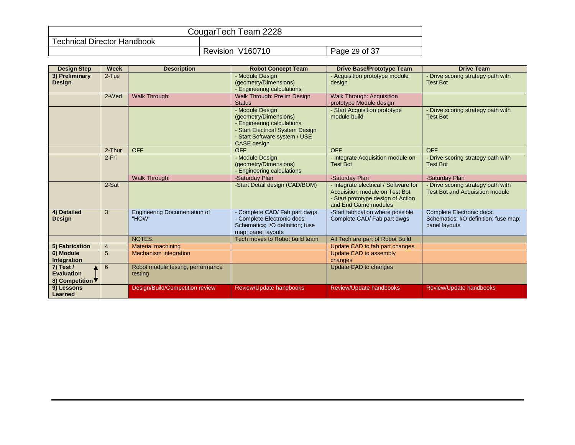| CougarTech Team 2228               |                            |               |  |
|------------------------------------|----------------------------|---------------|--|
| <b>Technical Director Handbook</b> |                            |               |  |
|                                    | V160710<br><b>Revision</b> | Page 29 of 37 |  |

| <b>Design Step</b>               | <b>Week</b>    | <b>Description</b>                           | <b>Robot Concept Team</b>                                                                                                                                  | <b>Drive Base/Prototype Team</b>                                                                                                    | <b>Drive Team</b>                                                                   |
|----------------------------------|----------------|----------------------------------------------|------------------------------------------------------------------------------------------------------------------------------------------------------------|-------------------------------------------------------------------------------------------------------------------------------------|-------------------------------------------------------------------------------------|
| 3) Preliminary<br>Design         | $2-Tue$        |                                              | - Module Design<br>(geometry/Dimensions)<br>- Engineering calculations                                                                                     | - Acquisition prototype module<br>design                                                                                            | Drive scoring strategy path with<br><b>Test Bot</b>                                 |
|                                  | 2-Wed          | Walk Through:                                | Walk Through: Prelim Design<br><b>Status</b>                                                                                                               | <b>Walk Through: Acquisition</b><br>prototype Module design                                                                         |                                                                                     |
|                                  |                |                                              | - Module Design<br>(geometry/Dimensions)<br>- Engineering calculations<br>- Start Electrical System Design<br>- Start Software system / USE<br>CASE design | - Start Acquisition prototype<br>module build                                                                                       | Drive scoring strategy path with<br><b>Test Bot</b>                                 |
|                                  | 2-Thur         | <b>OFF</b>                                   | <b>OFF</b>                                                                                                                                                 | <b>OFF</b>                                                                                                                          | <b>OFF</b>                                                                          |
|                                  | 2-Fri          |                                              | - Module Design<br>(geometry/Dimensions)<br>- Engineering calculations                                                                                     | - Integrate Acquisition module on<br><b>Test Bot</b>                                                                                | - Drive scoring strategy path with<br><b>Test Bot</b>                               |
|                                  |                | Walk Through:                                | -Saturday Plan                                                                                                                                             | -Saturday Plan                                                                                                                      | -Saturday Plan                                                                      |
|                                  | 2-Sat          |                                              | -Start Detail design (CAD/BOM)                                                                                                                             | Integrate electrical / Software for<br>Acquisition module on Test Bot<br>- Start prototype design of Action<br>and End Game modules | Drive scoring strategy path with<br><b>Test Bot and Acquisition module</b>          |
| 4) Detailed<br><b>Design</b>     | 3              | <b>Engineering Documentation of</b><br>"HOW" | - Complete CAD/ Fab part dwgs<br>- Complete Electronic docs:<br>Schematics; I/O definition; fuse<br>map; panel layouts                                     | -Start fabrication where possible<br>Complete CAD/ Fab part dwgs                                                                    | Complete Electronic docs:<br>Schematics; I/O definition; fuse map;<br>panel layouts |
|                                  |                | <b>NOTES:</b>                                | Tech moves to Robot build team                                                                                                                             | All Tech are part of Robot Build                                                                                                    |                                                                                     |
| 5) Fabrication                   | $\overline{4}$ | <b>Material machining</b>                    |                                                                                                                                                            | Update CAD to fab part changes                                                                                                      |                                                                                     |
| 6) Module<br>Integration         | 5              | Mechanism integration                        |                                                                                                                                                            | Update CAD to assembly<br>changes                                                                                                   |                                                                                     |
| $7)$ Test /<br><b>Evaluation</b> | 6              | Robot module testing, performance<br>testing |                                                                                                                                                            | Update CAD to changes                                                                                                               |                                                                                     |
| 8) Competition ▼                 |                |                                              |                                                                                                                                                            |                                                                                                                                     |                                                                                     |
| 9) Lessons<br>Learned            |                | Design/Build/Competition review              | Review/Update handbooks                                                                                                                                    | Review/Update handbooks                                                                                                             | Review/Update handbooks                                                             |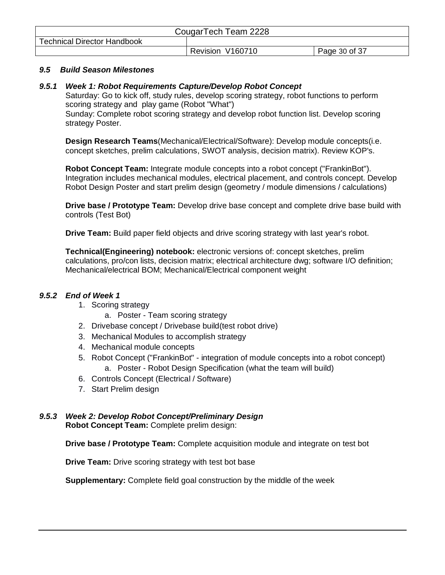| CougarTech Team 2228               |                  |               |  |
|------------------------------------|------------------|---------------|--|
| <b>Technical Director Handbook</b> |                  |               |  |
|                                    | Revision V160710 | Page 30 of 37 |  |

#### *9.5 Build Season Milestones*

#### <span id="page-29-1"></span>*9.5.1 Week 1: Robot Requirements Capture/Develop Robot Concept*

Saturday: Go to kick off, study rules, develop scoring strategy, robot functions to perform scoring strategy and play game (Robot "What")

Sunday: Complete robot scoring strategy and develop robot function list. Develop scoring strategy Poster.

**Design Research Teams**(Mechanical/Electrical/Software): Develop module concepts(i.e. concept sketches, prelim calculations, SWOT analysis, decision matrix). Review KOP's.

**Robot Concept Team:** Integrate module concepts into a robot concept ("FrankinBot"). Integration includes mechanical modules, electrical placement, and controls concept. Develop Robot Design Poster and start prelim design (geometry / module dimensions / calculations)

**Drive base / Prototype Team:** Develop drive base concept and complete drive base build with controls (Test Bot)

**Drive Team:** Build paper field objects and drive scoring strategy with last year's robot.

**Technical(Engineering) notebook:** electronic versions of: concept sketches, prelim calculations, pro/con lists, decision matrix; electrical architecture dwg; software I/O definition; Mechanical/electrical BOM; Mechanical/Electrical component weight

#### <span id="page-29-0"></span>*9.5.2 End of Week 1*

- 1. Scoring strategy
	- a. Poster Team scoring strategy
- 2. Drivebase concept / Drivebase build(test robot drive)
- 3. Mechanical Modules to accomplish strategy
- 4. Mechanical module concepts
- 5. Robot Concept ("FrankinBot" integration of module concepts into a robot concept) a. Poster - Robot Design Specification (what the team will build)
- 6. Controls Concept (Electrical / Software)
- 7. Start Prelim design

#### <span id="page-29-2"></span>*9.5.3 Week 2: Develop Robot Concept/Preliminary Design* **Robot Concept Team:** Complete prelim design:

**Drive base / Prototype Team:** Complete acquisition module and integrate on test bot

**Drive Team:** Drive scoring strategy with test bot base

**Supplementary:** Complete field goal construction by the middle of the week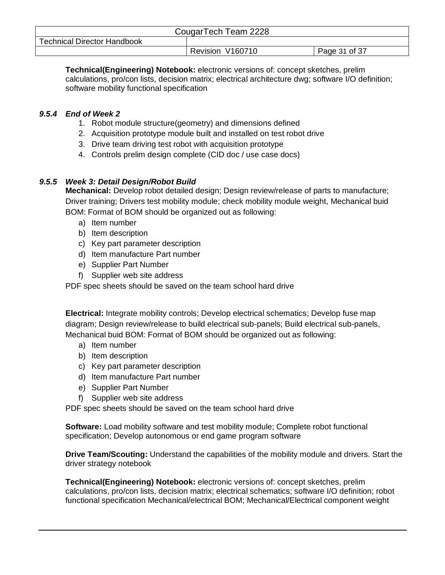| CougarTech Team 2228               |                  |               |  |
|------------------------------------|------------------|---------------|--|
| <b>Technical Director Handbook</b> |                  |               |  |
|                                    | Revision V160710 | Page 31 of 37 |  |

**Technical(Engineering) Notebook:** electronic versions of: concept sketches, prelim calculations, pro/con lists, decision matrix; electrical architecture dwg; software I/O definition; software mobility functional specification

## <span id="page-30-0"></span>*9.5.4 End of Week 2*

- 1. Robot module structure(geometry) and dimensions defined
- 2. Acquisition prototype module built and installed on test robot drive
- 3. Drive team driving test robot with acquisition prototype
- 4. Controls prelim design complete (CID doc / use case docs)

#### <span id="page-30-1"></span>*9.5.5 Week 3: Detail Design/Robot Build*

**Mechanical:** Develop robot detailed design; Design review/release of parts to manufacture; Driver training; Drivers test mobility module; check mobility module weight, Mechanical buid BOM: Format of BOM should be organized out as following:

- a) Item number
- b) Item description
- c) Key part parameter description
- d) Item manufacture Part number
- e) Supplier Part Number
- f) Supplier web site address

PDF spec sheets should be saved on the team school hard drive

**Electrical:** Integrate mobility controls; Develop electrical schematics; Develop fuse map diagram; Design review/release to build electrical sub-panels; Build electrical sub-panels, Mechanical buid BOM: Format of BOM should be organized out as following:

- a) Item number
- b) Item description
- c) Key part parameter description
- d) Item manufacture Part number
- e) Supplier Part Number
- f) Supplier web site address

PDF spec sheets should be saved on the team school hard drive

**Software:** Load mobility software and test mobility module; Complete robot functional specification; Develop autonomous or end game program software

**Drive Team/Scouting:** Understand the capabilities of the mobility module and drivers. Start the driver strategy notebook

**Technical(Engineering) Notebook:** electronic versions of: concept sketches, prelim calculations, pro/con lists, decision matrix; electrical schematics; software I/O definition; robot functional specification Mechanical/electrical BOM; Mechanical/Electrical component weight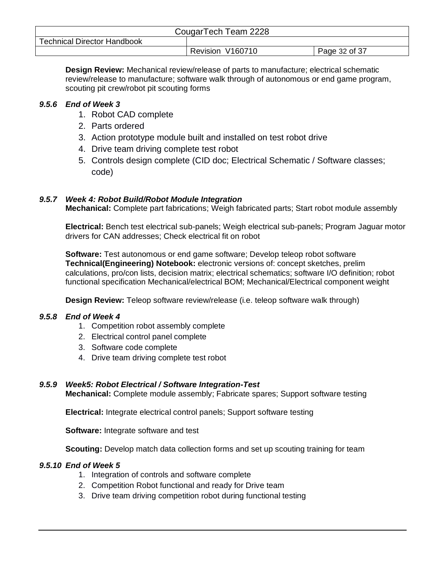| CougarTech Team 2228               |                  |               |  |
|------------------------------------|------------------|---------------|--|
| <b>Technical Director Handbook</b> |                  |               |  |
|                                    | Revision V160710 | Page 32 of 37 |  |

**Design Review:** Mechanical review/release of parts to manufacture; electrical schematic review/release to manufacture; software walk through of autonomous or end game program, scouting pit crew/robot pit scouting forms

## <span id="page-31-0"></span>*9.5.6 End of Week 3*

- 1. Robot CAD complete
- 2. Parts ordered
- 3. Action prototype module built and installed on test robot drive
- 4. Drive team driving complete test robot
- 5. Controls design complete (CID doc; Electrical Schematic / Software classes; code)

## <span id="page-31-3"></span>*9.5.7 Week 4: Robot Build/Robot Module Integration*

**Mechanical:** Complete part fabrications; Weigh fabricated parts; Start robot module assembly

**Electrical:** Bench test electrical sub-panels; Weigh electrical sub-panels; Program Jaguar motor drivers for CAN addresses; Check electrical fit on robot

**Software:** Test autonomous or end game software; Develop teleop robot software **Technical(Engineering) Notebook:** electronic versions of: concept sketches, prelim calculations, pro/con lists, decision matrix; electrical schematics; software I/O definition; robot functional specification Mechanical/electrical BOM; Mechanical/Electrical component weight

**Design Review:** Teleop software review/release (i.e. teleop software walk through)

## <span id="page-31-1"></span>*9.5.8 End of Week 4*

- 1. Competition robot assembly complete
- 2. Electrical control panel complete
- 3. Software code complete
- 4. Drive team driving complete test robot

## <span id="page-31-4"></span>*9.5.9 Week5: Robot Electrical / Software Integration-Test*

**Mechanical:** Complete module assembly; Fabricate spares; Support software testing

**Electrical:** Integrate electrical control panels; Support software testing

**Software:** Integrate software and test

**Scouting:** Develop match data collection forms and set up scouting training for team

## <span id="page-31-2"></span>*9.5.10 End of Week 5*

- 1. Integration of controls and software complete
- 2. Competition Robot functional and ready for Drive team
- 3. Drive team driving competition robot during functional testing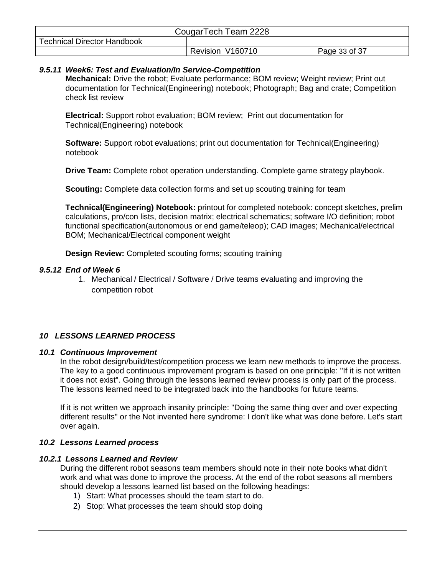| CougarTech Team 2228               |                  |               |  |
|------------------------------------|------------------|---------------|--|
| <b>Technical Director Handbook</b> |                  |               |  |
|                                    | Revision V160710 | Page 33 of 37 |  |

#### <span id="page-32-1"></span>*9.5.11 Week6: Test and Evaluation/In Service-Competition*

**Mechanical:** Drive the robot; Evaluate performance; BOM review; Weight review; Print out documentation for Technical(Engineering) notebook; Photograph; Bag and crate; Competition check list review

**Electrical:** Support robot evaluation; BOM review; Print out documentation for Technical(Engineering) notebook

**Software:** Support robot evaluations; print out documentation for Technical(Engineering) notebook

**Drive Team:** Complete robot operation understanding. Complete game strategy playbook.

**Scouting:** Complete data collection forms and set up scouting training for team

**Technical(Engineering) Notebook:** printout for completed notebook: concept sketches, prelim calculations, pro/con lists, decision matrix; electrical schematics; software I/O definition; robot functional specification(autonomous or end game/teleop); CAD images; Mechanical/electrical BOM; Mechanical/Electrical component weight

**Design Review:** Completed scouting forms; scouting training

#### <span id="page-32-0"></span>*9.5.12 End of Week 6*

1. Mechanical / Electrical / Software / Drive teams evaluating and improving the competition robot

#### <span id="page-32-2"></span>*10 LESSONS LEARNED PROCESS*

#### <span id="page-32-3"></span>*10.1 Continuous Improvement*

In the robot design/build/test/competition process we learn new methods to improve the process. The key to a good continuous improvement program is based on one principle: "If it is not written it does not exist". Going through the lessons learned review process is only part of the process. The lessons learned need to be integrated back into the handbooks for future teams.

If it is not written we approach insanity principle: "Doing the same thing over and over expecting different results" or the Not invented here syndrome: I don't like what was done before. Let's start over again.

#### <span id="page-32-4"></span>*10.2 Lessons Learned process*

#### <span id="page-32-5"></span>*10.2.1 Lessons Learned and Review*

During the different robot seasons team members should note in their note books what didn't work and what was done to improve the process. At the end of the robot seasons all members should develop a lessons learned list based on the following headings:

- 1) Start: What processes should the team start to do.
- 2) Stop: What processes the team should stop doing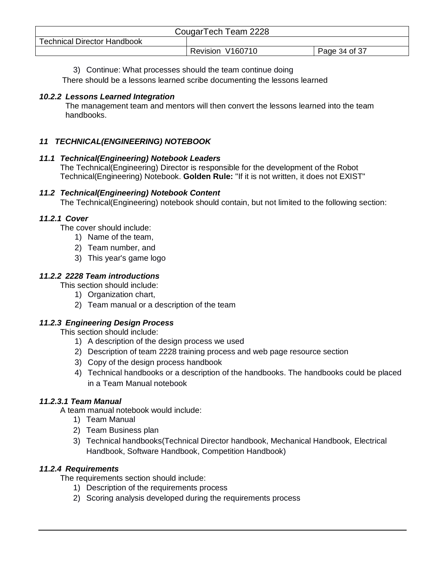| CougarTech Team 2228               |                  |               |  |
|------------------------------------|------------------|---------------|--|
| <b>Technical Director Handbook</b> |                  |               |  |
|                                    | Revision V160710 | Page 34 of 37 |  |

#### 3) Continue: What processes should the team continue doing

There should be a lessons learned scribe documenting the lessons learned

#### <span id="page-33-0"></span>*10.2.2 Lessons Learned Integration*

The management team and mentors will then convert the lessons learned into the team handbooks.

#### <span id="page-33-1"></span>*11 TECHNICAL(ENGINEERING) NOTEBOOK*

#### <span id="page-33-2"></span>*11.1 Technical(Engineering) Notebook Leaders*

The Technical(Engineering) Director is responsible for the development of the Robot Technical(Engineering) Notebook. **Golden Rule:** "If it is not written, it does not EXIST"

#### <span id="page-33-3"></span>*11.2 Technical(Engineering) Notebook Content*

The Technical(Engineering) notebook should contain, but not limited to the following section:

#### <span id="page-33-4"></span>*11.2.1 Cover*

The cover should include:

- 1) Name of the team,
- 2) Team number, and
- 3) This year's game logo

#### <span id="page-33-5"></span>*11.2.2 2228 Team introductions*

This section should include:

- 1) Organization chart,
- 2) Team manual or a description of the team

## <span id="page-33-6"></span>*11.2.3 Engineering Design Process*

This section should include:

- 1) A description of the design process we used
- 2) Description of team 2228 training process and web page resource section
- 3) Copy of the design process handbook
- 4) Technical handbooks or a description of the handbooks. The handbooks could be placed in a Team Manual notebook

## <span id="page-33-7"></span>*11.2.3.1 Team Manual*

A team manual notebook would include:

- 1) Team Manual
- 2) Team Business plan
- 3) Technical handbooks(Technical Director handbook, Mechanical Handbook, Electrical Handbook, Software Handbook, Competition Handbook)

## <span id="page-33-8"></span>*11.2.4 Requirements*

The requirements section should include:

- 1) Description of the requirements process
- 2) Scoring analysis developed during the requirements process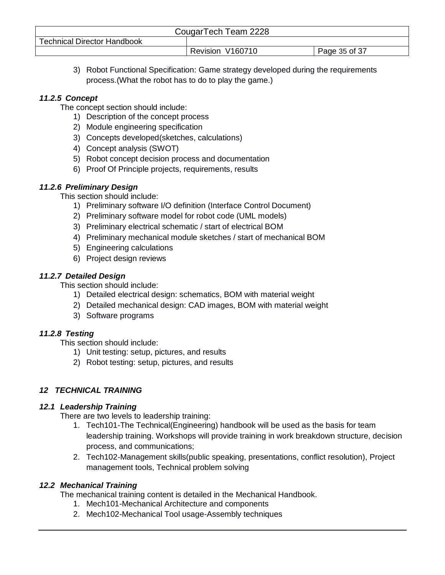| CougarTech Team 2228               |                  |               |  |
|------------------------------------|------------------|---------------|--|
| <b>Technical Director Handbook</b> |                  |               |  |
|                                    | Revision V160710 | Page 35 of 37 |  |

3) Robot Functional Specification: Game strategy developed during the requirements process.(What the robot has to do to play the game.)

## <span id="page-34-0"></span>*11.2.5 Concept*

The concept section should include:

- 1) Description of the concept process
- 2) Module engineering specification
- 3) Concepts developed(sketches, calculations)
- 4) Concept analysis (SWOT)
- 5) Robot concept decision process and documentation
- 6) Proof Of Principle projects, requirements, results

#### <span id="page-34-1"></span>*11.2.6 Preliminary Design*

This section should include:

- 1) Preliminary software I/O definition (Interface Control Document)
- 2) Preliminary software model for robot code (UML models)
- 3) Preliminary electrical schematic / start of electrical BOM
- 4) Preliminary mechanical module sketches / start of mechanical BOM
- 5) Engineering calculations
- 6) Project design reviews

#### <span id="page-34-2"></span>*11.2.7 Detailed Design*

This section should include:

- 1) Detailed electrical design: schematics, BOM with material weight
- 2) Detailed mechanical design: CAD images, BOM with material weight
- 3) Software programs

## <span id="page-34-3"></span>*11.2.8 Testing*

This section should include:

- 1) Unit testing: setup, pictures, and results
- 2) Robot testing: setup, pictures, and results

## <span id="page-34-4"></span>*12 TECHNICAL TRAINING*

## <span id="page-34-5"></span>*12.1 Leadership Training*

There are two levels to leadership training:

- 1. Tech101-The Technical(Engineering) handbook will be used as the basis for team leadership training. Workshops will provide training in work breakdown structure, decision process, and communications;
- 2. Tech102-Management skills(public speaking, presentations, conflict resolution), Project management tools, Technical problem solving

## <span id="page-34-6"></span>*12.2 Mechanical Training*

The mechanical training content is detailed in the Mechanical Handbook.

- 1. Mech101-Mechanical Architecture and components
- 2. Mech102-Mechanical Tool usage-Assembly techniques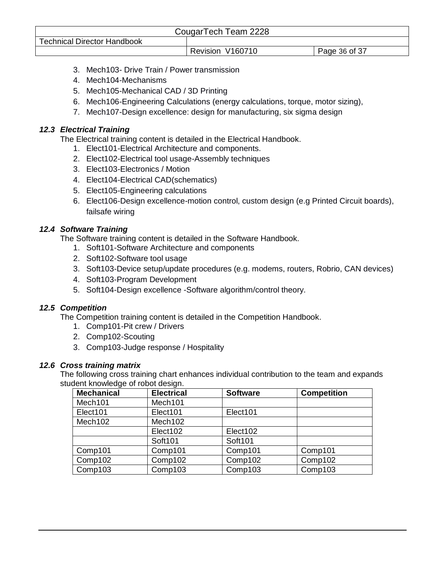| CougarTech Team 2228               |                  |               |
|------------------------------------|------------------|---------------|
| <b>Technical Director Handbook</b> |                  |               |
|                                    | Revision V160710 | Page 36 of 37 |

- 3. Mech103- Drive Train / Power transmission
- 4. Mech104-Mechanisms
- 5. Mech105-Mechanical CAD / 3D Printing
- 6. Mech106-Engineering Calculations (energy calculations, torque, motor sizing),
- 7. Mech107-Design excellence: design for manufacturing, six sigma design

## <span id="page-35-0"></span>*12.3 Electrical Training*

The Electrical training content is detailed in the Electrical Handbook.

- 1. Elect101-Electrical Architecture and components.
- 2. Elect102-Electrical tool usage-Assembly techniques
- 3. Elect103-Electronics / Motion
- 4. Elect104-Electrical CAD(schematics)
- 5. Elect105-Engineering calculations
- 6. Elect106-Design excellence-motion control, custom design (e.g Printed Circuit boards), failsafe wiring

## <span id="page-35-1"></span>*12.4 Software Training*

The Software training content is detailed in the Software Handbook.

- 1. Soft101-Software Architecture and components
- 2. Soft102-Software tool usage
- 3. Soft103-Device setup/update procedures (e.g. modems, routers, Robrio, CAN devices)
- 4. Soft103-Program Development
- 5. Soft104-Design excellence -Software algorithm/control theory.

## <span id="page-35-2"></span>*12.5 Competition*

The Competition training content is detailed in the Competition Handbook.

- 1. Comp101-Pit crew / Drivers
- 2. Comp102-Scouting
- 3. Comp103-Judge response / Hospitality

## <span id="page-35-3"></span>*12.6 Cross training matrix*

The following cross training chart enhances individual contribution to the team and expands student knowledge of robot design.

| <b>Mechanical</b>   | <b>Electrical</b>   | <b>Software</b> | <b>Competition</b> |
|---------------------|---------------------|-----------------|--------------------|
| Mech <sub>101</sub> | Mech101             |                 |                    |
| Elect101            | Elect101            | Elect101        |                    |
| Mech <sub>102</sub> | Mech <sub>102</sub> |                 |                    |
|                     | Elect102            | Elect102        |                    |
|                     | Soft101             | Soft101         |                    |
| Comp101             | Comp101             | Comp101         | Comp101            |
| Comp102             | Comp102             | Comp102         | Comp102            |
| Comp103             | Comp103             | Comp103         | Comp103            |